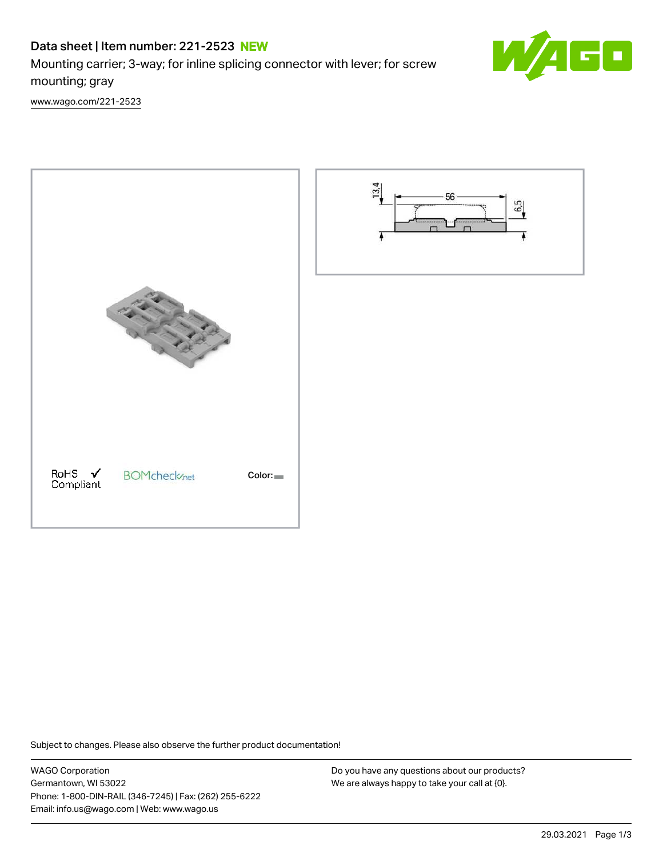# Data sheet | Item number: 221-2523 NEW

Mounting carrier; 3-way; for inline splicing connector with lever; for screw mounting; gray

[www.wago.com/221-2523](http://www.wago.com/221-2523)



Subject to changes. Please also observe the further product documentation!

WAGO Corporation Germantown, WI 53022 Phone: 1-800-DIN-RAIL (346-7245) | Fax: (262) 255-6222 Email: info.us@wago.com | Web: www.wago.us

Do you have any questions about our products? We are always happy to take your call at {0}.

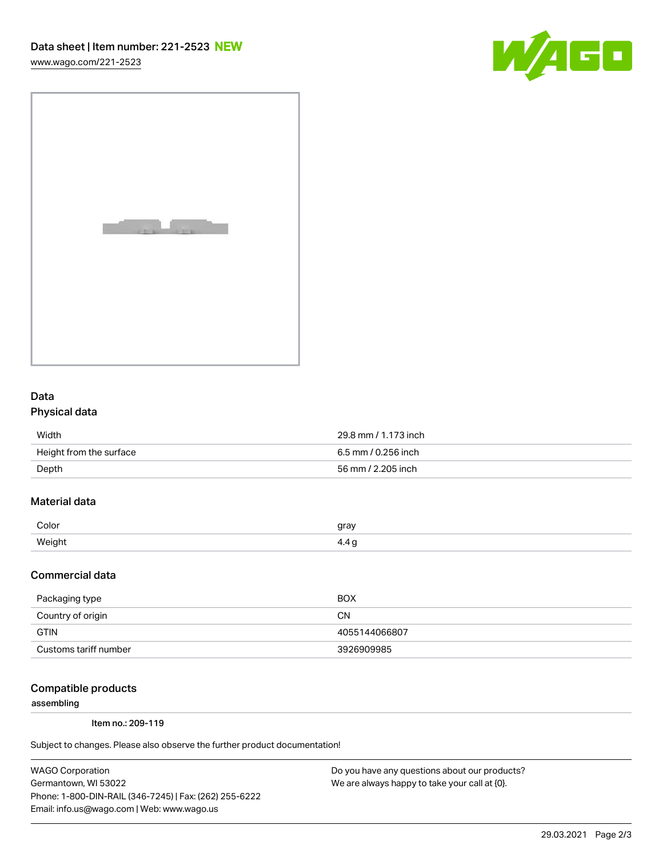[www.wago.com/221-2523](http://www.wago.com/221-2523)



|  | <b>Contract</b><br>٠<br>× |
|--|---------------------------|
|  |                           |
|  |                           |

### Data Physical data

| Width                   | 29.8 mm / 1.173 inch |  |
|-------------------------|----------------------|--|
| Height from the surface | 6.5 mm / 0.256 inch  |  |
| Depth                   | 56 mm / 2.205 inch   |  |

## Material data

| Color         | arov |
|---------------|------|
| <i>Mainhy</i> | . .  |

#### Commercial data

| Packaging type        | BOX           |
|-----------------------|---------------|
| Country of origin     | CΝ            |
| <b>GTIN</b>           | 4055144066807 |
| Customs tariff number | 3926909985    |

#### Compatible products

assembling

Item no.: 209-119

Subject to changes. Please also observe the further product documentation!

WAGO Corporation Germantown, WI 53022 Phone: 1-800-DIN-RAIL (346-7245) | Fax: (262) 255-6222 Email: info.us@wago.com | Web: www.wago.us

Do you have any questions about our products? We are always happy to take your call at {0}.